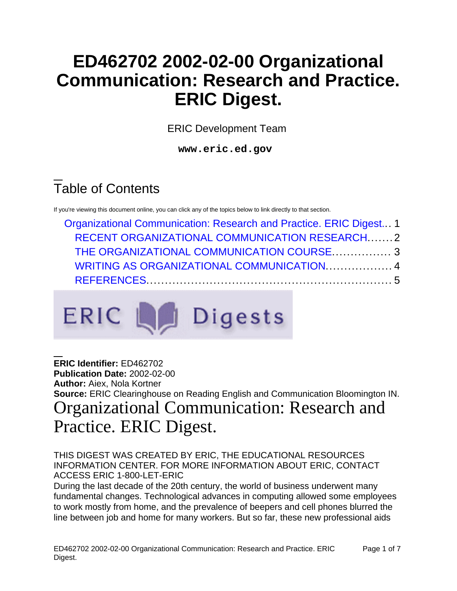## **ED462702 2002-02-00 Organizational Communication: Research and Practice. ERIC Digest.**

ERIC Development Team

**www.eric.ed.gov**

# Table of Contents

If you're viewing this document online, you can click any of the topics below to link directly to that section.

| Organizational Communication: Research and Practice. ERIC Digest 1 |  |
|--------------------------------------------------------------------|--|
| <b>RECENT ORGANIZATIONAL COMMUNICATION RESEARCH2</b>               |  |
| THE ORGANIZATIONAL COMMUNICATION COURSE 3                          |  |
| WRITING AS ORGANIZATIONAL COMMUNICATION 4                          |  |
|                                                                    |  |



<span id="page-0-0"></span>**ERIC Identifier:** ED462702 **Publication Date:** 2002-02-00 **Author:** Aiex, Nola Kortner **Source:** ERIC Clearinghouse on Reading English and Communication Bloomington IN. Organizational Communication: Research and Practice. ERIC Digest.

#### THIS DIGEST WAS CREATED BY ERIC, THE EDUCATIONAL RESOURCES INFORMATION CENTER. FOR MORE INFORMATION ABOUT ERIC, CONTACT ACCESS ERIC 1-800-LET-ERIC

During the last decade of the 20th century, the world of business underwent many fundamental changes. Technological advances in computing allowed some employees to work mostly from home, and the prevalence of beepers and cell phones blurred the line between job and home for many workers. But so far, these new professional aids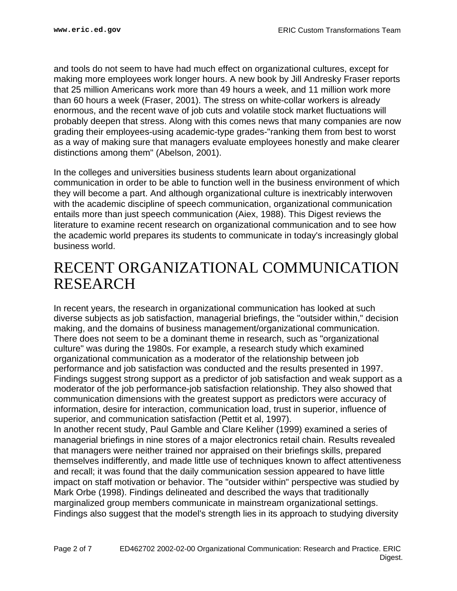and tools do not seem to have had much effect on organizational cultures, except for making more employees work longer hours. A new book by Jill Andresky Fraser reports that 25 million Americans work more than 49 hours a week, and 11 million work more than 60 hours a week (Fraser, 2001). The stress on white-collar workers is already enormous, and the recent wave of job cuts and volatile stock market fluctuations will probably deepen that stress. Along with this comes news that many companies are now grading their employees-using academic-type grades-"ranking them from best to worst as a way of making sure that managers evaluate employees honestly and make clearer distinctions among them" (Abelson, 2001).

In the colleges and universities business students learn about organizational communication in order to be able to function well in the business environment of which they will become a part. And although organizational culture is inextricably interwoven with the academic discipline of speech communication, organizational communication entails more than just speech communication (Aiex, 1988). This Digest reviews the literature to examine recent research on organizational communication and to see how the academic world prepares its students to communicate in today's increasingly global business world.

#### <span id="page-1-0"></span>RECENT ORGANIZATIONAL COMMUNICATION RESEARCH

In recent years, the research in organizational communication has looked at such diverse subjects as job satisfaction, managerial briefings, the "outsider within," decision making, and the domains of business management/organizational communication. There does not seem to be a dominant theme in research, such as "organizational culture" was during the 1980s. For example, a research study which examined organizational communication as a moderator of the relationship between job performance and job satisfaction was conducted and the results presented in 1997. Findings suggest strong support as a predictor of job satisfaction and weak support as a moderator of the job performance-job satisfaction relationship. They also showed that communication dimensions with the greatest support as predictors were accuracy of information, desire for interaction, communication load, trust in superior, influence of superior, and communication satisfaction (Pettit et al, 1997).

In another recent study, Paul Gamble and Clare Keliher (1999) examined a series of managerial briefings in nine stores of a major electronics retail chain. Results revealed that managers were neither trained nor appraised on their briefings skills, prepared themselves indifferently, and made little use of techniques known to affect attentiveness and recall; it was found that the daily communication session appeared to have little impact on staff motivation or behavior. The "outsider within" perspective was studied by Mark Orbe (1998). Findings delineated and described the ways that traditionally marginalized group members communicate in mainstream organizational settings. Findings also suggest that the model's strength lies in its approach to studying diversity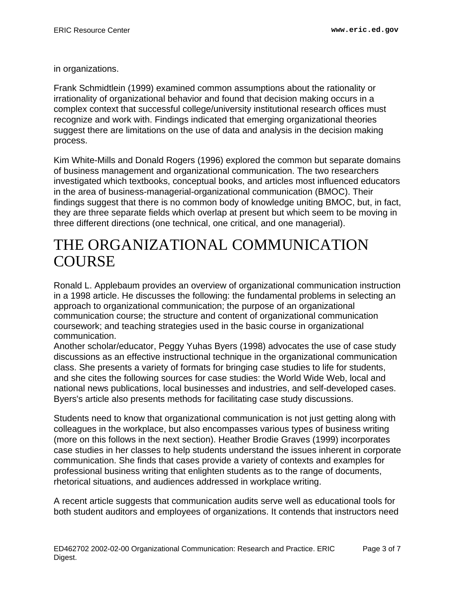in organizations.

Frank Schmidtlein (1999) examined common assumptions about the rationality or irrationality of organizational behavior and found that decision making occurs in a complex context that successful college/university institutional research offices must recognize and work with. Findings indicated that emerging organizational theories suggest there are limitations on the use of data and analysis in the decision making process.

Kim White-Mills and Donald Rogers (1996) explored the common but separate domains of business management and organizational communication. The two researchers investigated which textbooks, conceptual books, and articles most influenced educators in the area of business-managerial-organizational communication (BMOC). Their findings suggest that there is no common body of knowledge uniting BMOC, but, in fact, they are three separate fields which overlap at present but which seem to be moving in three different directions (one technical, one critical, and one managerial).

### <span id="page-2-0"></span>THE ORGANIZATIONAL COMMUNICATION **COURSE**

Ronald L. Applebaum provides an overview of organizational communication instruction in a 1998 article. He discusses the following: the fundamental problems in selecting an approach to organizational communication; the purpose of an organizational communication course; the structure and content of organizational communication coursework; and teaching strategies used in the basic course in organizational communication.

Another scholar/educator, Peggy Yuhas Byers (1998) advocates the use of case study discussions as an effective instructional technique in the organizational communication class. She presents a variety of formats for bringing case studies to life for students, and she cites the following sources for case studies: the World Wide Web, local and national news publications, local businesses and industries, and self-developed cases. Byers's article also presents methods for facilitating case study discussions.

Students need to know that organizational communication is not just getting along with colleagues in the workplace, but also encompasses various types of business writing (more on this follows in the next section). Heather Brodie Graves (1999) incorporates case studies in her classes to help students understand the issues inherent in corporate communication. She finds that cases provide a variety of contexts and examples for professional business writing that enlighten students as to the range of documents, rhetorical situations, and audiences addressed in workplace writing.

A recent article suggests that communication audits serve well as educational tools for both student auditors and employees of organizations. It contends that instructors need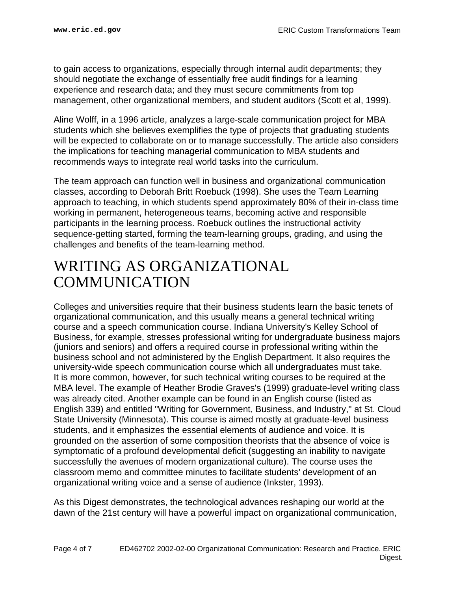to gain access to organizations, especially through internal audit departments; they should negotiate the exchange of essentially free audit findings for a learning experience and research data; and they must secure commitments from top management, other organizational members, and student auditors (Scott et al, 1999).

Aline Wolff, in a 1996 article, analyzes a large-scale communication project for MBA students which she believes exemplifies the type of projects that graduating students will be expected to collaborate on or to manage successfully. The article also considers the implications for teaching managerial communication to MBA students and recommends ways to integrate real world tasks into the curriculum.

The team approach can function well in business and organizational communication classes, according to Deborah Britt Roebuck (1998). She uses the Team Learning approach to teaching, in which students spend approximately 80% of their in-class time working in permanent, heterogeneous teams, becoming active and responsible participants in the learning process. Roebuck outlines the instructional activity sequence-getting started, forming the team-learning groups, grading, and using the challenges and benefits of the team-learning method.

### <span id="page-3-0"></span>WRITING AS ORGANIZATIONAL COMMUNICATION

Colleges and universities require that their business students learn the basic tenets of organizational communication, and this usually means a general technical writing course and a speech communication course. Indiana University's Kelley School of Business, for example, stresses professional writing for undergraduate business majors (juniors and seniors) and offers a required course in professional writing within the business school and not administered by the English Department. It also requires the university-wide speech communication course which all undergraduates must take. It is more common, however, for such technical writing courses to be required at the MBA level. The example of Heather Brodie Graves's (1999) graduate-level writing class was already cited. Another example can be found in an English course (listed as English 339) and entitled "Writing for Government, Business, and Industry," at St. Cloud State University (Minnesota). This course is aimed mostly at graduate-level business students, and it emphasizes the essential elements of audience and voice. It is grounded on the assertion of some composition theorists that the absence of voice is symptomatic of a profound developmental deficit (suggesting an inability to navigate successfully the avenues of modern organizational culture). The course uses the classroom memo and committee minutes to facilitate students' development of an organizational writing voice and a sense of audience (Inkster, 1993).

As this Digest demonstrates, the technological advances reshaping our world at the dawn of the 21st century will have a powerful impact on organizational communication,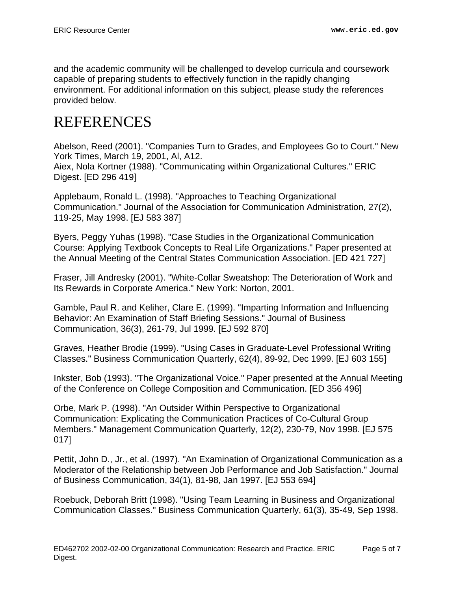and the academic community will be challenged to develop curricula and coursework capable of preparing students to effectively function in the rapidly changing environment. For additional information on this subject, please study the references provided below.

## <span id="page-4-0"></span>REFERENCES

Abelson, Reed (2001). "Companies Turn to Grades, and Employees Go to Court." New York Times, March 19, 2001, Al, A12. Aiex, Nola Kortner (1988). "Communicating within Organizational Cultures." ERIC

Digest. [ED 296 419]

Applebaum, Ronald L. (1998). "Approaches to Teaching Organizational Communication." Journal of the Association for Communication Administration, 27(2), 119-25, May 1998. [EJ 583 387]

Byers, Peggy Yuhas (1998). "Case Studies in the Organizational Communication Course: Applying Textbook Concepts to Real Life Organizations." Paper presented at the Annual Meeting of the Central States Communication Association. [ED 421 727]

Fraser, Jill Andresky (2001). "White-Collar Sweatshop: The Deterioration of Work and Its Rewards in Corporate America." New York: Norton, 2001.

Gamble, Paul R. and Keliher, Clare E. (1999). "Imparting Information and Influencing Behavior: An Examination of Staff Briefing Sessions." Journal of Business Communication, 36(3), 261-79, Jul 1999. [EJ 592 870]

Graves, Heather Brodie (1999). "Using Cases in Graduate-Level Professional Writing Classes." Business Communication Quarterly, 62(4), 89-92, Dec 1999. [EJ 603 155]

Inkster, Bob (1993). "The Organizational Voice." Paper presented at the Annual Meeting of the Conference on College Composition and Communication. [ED 356 496]

Orbe, Mark P. (1998). "An Outsider Within Perspective to Organizational Communication: Explicating the Communication Practices of Co-Cultural Group Members." Management Communication Quarterly, 12(2), 230-79, Nov 1998. [EJ 575 017]

Pettit, John D., Jr., et al. (1997). "An Examination of Organizational Communication as a Moderator of the Relationship between Job Performance and Job Satisfaction." Journal of Business Communication, 34(1), 81-98, Jan 1997. [EJ 553 694]

Roebuck, Deborah Britt (1998). "Using Team Learning in Business and Organizational Communication Classes." Business Communication Quarterly, 61(3), 35-49, Sep 1998.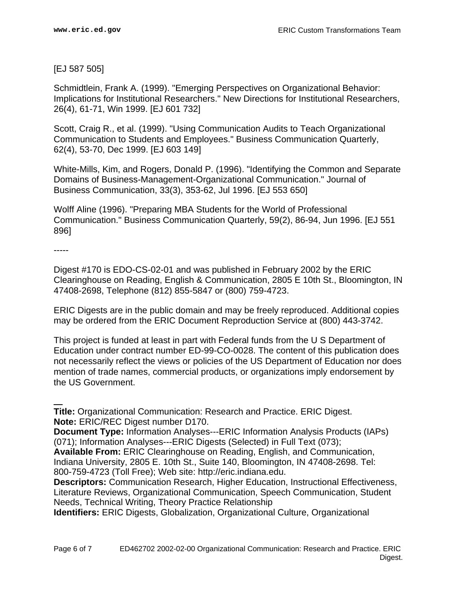#### [EJ 587 505]

Schmidtlein, Frank A. (1999). "Emerging Perspectives on Organizational Behavior: Implications for Institutional Researchers." New Directions for Institutional Researchers, 26(4), 61-71, Win 1999. [EJ 601 732]

Scott, Craig R., et al. (1999). "Using Communication Audits to Teach Organizational Communication to Students and Employees." Business Communication Quarterly, 62(4), 53-70, Dec 1999. [EJ 603 149]

White-Mills, Kim, and Rogers, Donald P. (1996). "Identifying the Common and Separate Domains of Business-Management-Organizational Communication." Journal of Business Communication, 33(3), 353-62, Jul 1996. [EJ 553 650]

Wolff Aline (1996). "Preparing MBA Students for the World of Professional Communication." Business Communication Quarterly, 59(2), 86-94, Jun 1996. [EJ 551 896]

-----

Digest #170 is EDO-CS-02-01 and was published in February 2002 by the ERIC Clearinghouse on Reading, English & Communication, 2805 E 10th St., Bloomington, IN 47408-2698, Telephone (812) 855-5847 or (800) 759-4723.

ERIC Digests are in the public domain and may be freely reproduced. Additional copies may be ordered from the ERIC Document Reproduction Service at (800) 443-3742.

This project is funded at least in part with Federal funds from the U S Department of Education under contract number ED-99-CO-0028. The content of this publication does not necessarily reflect the views or policies of the US Department of Education nor does mention of trade names, commercial products, or organizations imply endorsement by the US Government.

**Title:** Organizational Communication: Research and Practice. ERIC Digest. **Note:** ERIC/REC Digest number D170.

**Document Type:** Information Analyses---ERIC Information Analysis Products (IAPs) (071); Information Analyses---ERIC Digests (Selected) in Full Text (073);

**Available From:** ERIC Clearinghouse on Reading, English, and Communication, Indiana University, 2805 E. 10th St., Suite 140, Bloomington, IN 47408-2698. Tel: 800-759-4723 (Toll Free); Web site: http://eric.indiana.edu.

**Identifiers:** ERIC Digests, Globalization, Organizational Culture, Organizational

**Descriptors:** Communication Research, Higher Education, Instructional Effectiveness, Literature Reviews, Organizational Communication, Speech Communication, Student Needs, Technical Writing, Theory Practice Relationship